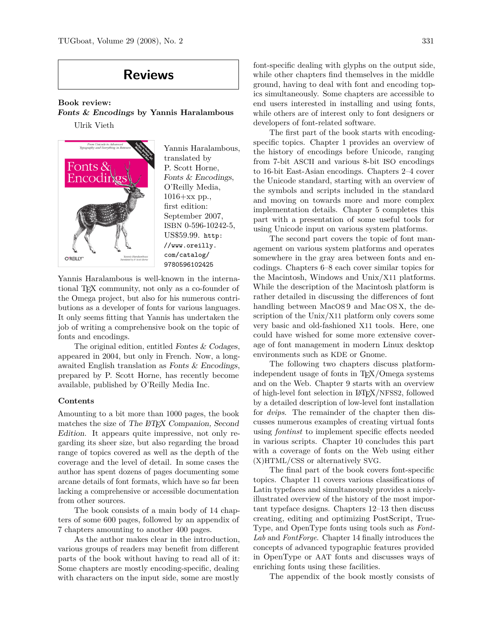## **Reviews**

**Book review:**

onts

O'REILLY®

**Fonts & Encodings by Yannis Haralambous**





Yannis Haralambous is well-known in the international TEX community, not only as a co-founder of the Omega project, but also for his numerous contributions as a developer of fonts for various languages. It only seems fitting that Yannis has undertaken the job of writing a comprehensive book on the topic of fonts and encodings.

The original edition, entitled Fontes & Codages, appeared in 2004, but only in French. Now, a longawaited English translation as Fonts & Encodings, prepared by P. Scott Horne, has recently become available, published by O'Reilly Media Inc.

## **Contents**

Amounting to a bit more than 1000 pages, the book matches the size of The FIFX Companion, Second Edition. It appears quite impressive, not only regarding its sheer size, but also regarding the broad range of topics covered as well as the depth of the coverage and the level of detail. In some cases the author has spent dozens of pages documenting some arcane details of font formats, which have so far been lacking a comprehensive or accessible documentation from other sources.

The book consists of a main body of 14 chapters of some 600 pages, followed by an appendix of 7 chapters amounting to another 400 pages.

As the author makes clear in the introduction, various groups of readers may benefit from different parts of the book without having to read all of it: Some chapters are mostly encoding-specific, dealing with characters on the input side, some are mostly

font-specific dealing with glyphs on the output side, while other chapters find themselves in the middle ground, having to deal with font and encoding topics simultaneously. Some chapters are accessible to end users interested in installing and using fonts, while others are of interest only to font designers or developers of font-related software.

The first part of the book starts with encodingspecific topics. Chapter 1 provides an overview of the history of encodings before Unicode, ranging from 7-bit ASCII and various 8-bit ISO encodings to 16-bit East-Asian encodings. Chapters 2–4 cover the Unicode standard, starting with an overview of the symbols and scripts included in the standard and moving on towards more and more complex implementation details. Chapter 5 completes this part with a presentation of some useful tools for using Unicode input on various system platforms.

The second part covers the topic of font management on various system platforms and operates somewhere in the gray area between fonts and encodings. Chapters 6–8 each cover similar topics for the Macintosh, Windows and Unix/X11 platforms. While the description of the Macintosh platform is rather detailed in discussing the differences of font handling between MacOS 9 and Mac OS X, the description of the Unix/X11 platform only covers some very basic and old-fashioned X11 tools. Here, one could have wished for some more extensive coverage of font management in modern Linux desktop environments such as KDE or Gnome.

The following two chapters discuss platformindependent usage of fonts in TEX/Omega systems and on the Web. Chapter 9 starts with an overview of high-level font selection in LATEX/NFSS2, followed by a detailed description of low-level font installation for *dvips*. The remainder of the chapter then discusses numerous examples of creating virtual fonts using *fontinst* to implement specific effects needed in various scripts. Chapter 10 concludes this part with a coverage of fonts on the Web using either (X)HTML/CSS or alternatively SVG.

The final part of the book covers font-specific topics. Chapter 11 covers various classifications of Latin typefaces and simultaneously provides a nicelyillustrated overview of the history of the most important typeface designs. Chapters 12–13 then discuss creating, editing and optimizing PostScript, True-Type, and OpenType fonts using tools such as *Font-Lab* and *FontForge*. Chapter 14 finally introduces the concepts of advanced typographic features provided in OpenType or AAT fonts and discusses ways of enriching fonts using these facilities.

The appendix of the book mostly consists of